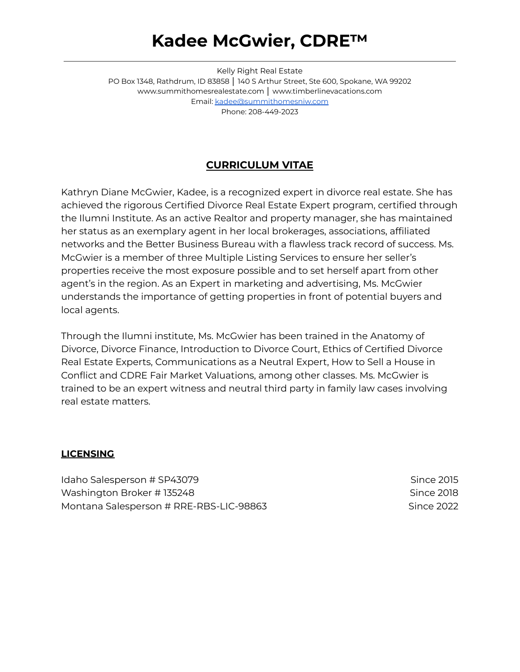## **Kadee McGwier, CDRE™**

Kelly Right Real Estate PO Box 1348, Rathdrum, ID 83858 | 140 S Arthur Street, Ste 600, Spokane, WA 99202 [www.summithomesrealestate.com](http://www.summithomesrealestate.com) │ [www.timberlinevacations.com](http://www.timberlinevacations.com) Email: [kadee@summithomesniw.com](mailto:kadee@summithomesniw.com) Phone: 208-449-2023

## **CURRICULUM VITAE**

Kathryn Diane McGwier, Kadee, is a recognized expert in divorce real estate. She has achieved the rigorous Certified Divorce Real Estate Expert program, certified through the Ilumni Institute. As an active Realtor and property manager, she has maintained her status as an exemplary agent in her local brokerages, associations, affiliated networks and the Better Business Bureau with a flawless track record of success. Ms. McGwier is a member of three Multiple Listing Services to ensure her seller's properties receive the most exposure possible and to set herself apart from other agent's in the region. As an Expert in marketing and advertising, Ms. McGwier understands the importance of getting properties in front of potential buyers and local agents.

Through the Ilumni institute, Ms. McGwier has been trained in the Anatomy of Divorce, Divorce Finance, Introduction to Divorce Court, Ethics of Certified Divorce Real Estate Experts, Communications as a Neutral Expert, How to Sell a House in Conflict and CDRE Fair Market Valuations, among other classes. Ms. McGwier is trained to be an expert witness and neutral third party in family law cases involving real estate matters.

#### **LICENSING**

Idaho Salesperson # SP43079 Since 2015 Washington Broker # 135248 Since 2018 Montana Salesperson # RRE-RBS-LIC-98863 Since 2022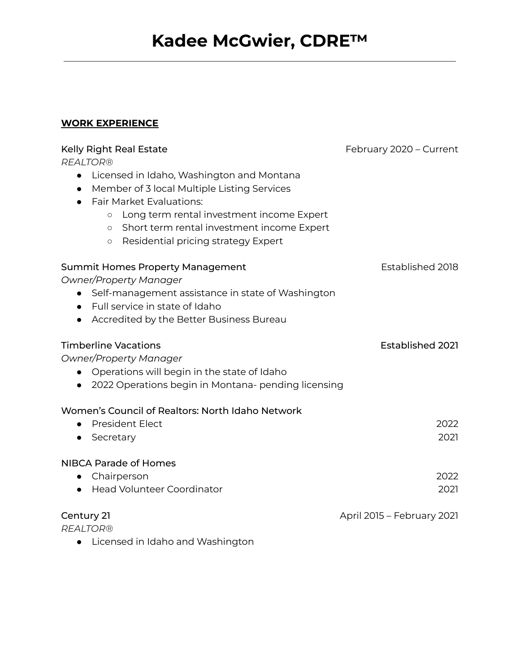### **WORK EXPERIENCE**

| <b>Kelly Right Real Estate</b>                           | February 2020 - Current    |
|----------------------------------------------------------|----------------------------|
| <b>REALTOR®</b>                                          |                            |
| Licensed in Idaho, Washington and Montana<br>$\bullet$   |                            |
| Member of 3 local Multiple Listing Services<br>$\bullet$ |                            |
| <b>Fair Market Evaluations:</b>                          |                            |
| Long term rental investment income Expert<br>$\circ$     |                            |
| Short term rental investment income Expert<br>$\circ$    |                            |
| Residential pricing strategy Expert<br>$\circ$           |                            |
| <b>Summit Homes Property Management</b>                  | Established 2018           |
| <b>Owner/Property Manager</b>                            |                            |
| • Self-management assistance in state of Washington      |                            |
| • Full service in state of Idaho                         |                            |
| Accredited by the Better Business Bureau<br>$\bullet$    |                            |
| <b>Timberline Vacations</b>                              | <b>Established 2021</b>    |
| <b>Owner/Property Manager</b>                            |                            |
| Operations will begin in the state of Idaho<br>$\bullet$ |                            |
| 2022 Operations begin in Montana- pending licensing      |                            |
| Women's Council of Realtors: North Idaho Network         |                            |
| <b>President Elect</b>                                   | 2022                       |
| Secretary                                                | 2021                       |
| <b>NIBCA Parade of Homes</b>                             |                            |
| Chairperson<br>$\bullet$                                 | 2022                       |
| <b>Head Volunteer Coordinator</b>                        | 2021                       |
| Century 21                                               | April 2015 - February 2021 |
| <b>REALTOR®</b>                                          |                            |
| Licensed in Idaho and Washington                         |                            |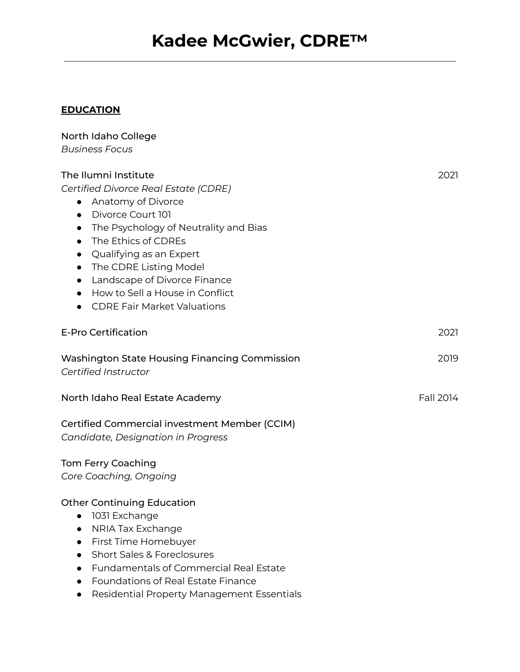# **Kadee McGwier, CDRE™**

## **EDUCATION**

| North Idaho College                                                                                                                                                                                                                                                                                                                                                                                            |           |
|----------------------------------------------------------------------------------------------------------------------------------------------------------------------------------------------------------------------------------------------------------------------------------------------------------------------------------------------------------------------------------------------------------------|-----------|
| <b>Business Focus</b>                                                                                                                                                                                                                                                                                                                                                                                          |           |
| The Ilumni Institute<br>Certified Divorce Real Estate (CDRE)<br>• Anatomy of Divorce<br>Divorce Court 101<br>$\bullet$<br>• The Psychology of Neutrality and Bias<br>The Ethics of CDREs<br>$\bullet$<br>• Qualifying as an Expert<br>• The CDRE Listing Model<br>Landscape of Divorce Finance<br>$\bullet$<br>How to Sell a House in Conflict<br>$\bullet$<br><b>CDRE Fair Market Valuations</b><br>$\bullet$ | 2021      |
| <b>E-Pro Certification</b>                                                                                                                                                                                                                                                                                                                                                                                     | 2021      |
| <b>Washington State Housing Financing Commission</b><br>Certified Instructor                                                                                                                                                                                                                                                                                                                                   | 2019      |
| North Idaho Real Estate Academy                                                                                                                                                                                                                                                                                                                                                                                | Fall 2014 |
| Certified Commercial investment Member (CCIM)<br><b>Candidate, Designation in Progress</b>                                                                                                                                                                                                                                                                                                                     |           |
| <b>Tom Ferry Coaching</b><br>Core Coaching, Ongoing                                                                                                                                                                                                                                                                                                                                                            |           |
| <b>Other Continuing Education</b><br>1031 Exchange<br>0<br>NRIA Tax Exchange<br>First Time Homebuyer<br><b>Short Sales &amp; Foreclosures</b><br><b>Fundamentals of Commercial Real Estate</b><br><b>Foundations of Real Estate Finance</b><br><b>Residential Property Management Essentials</b>                                                                                                               |           |